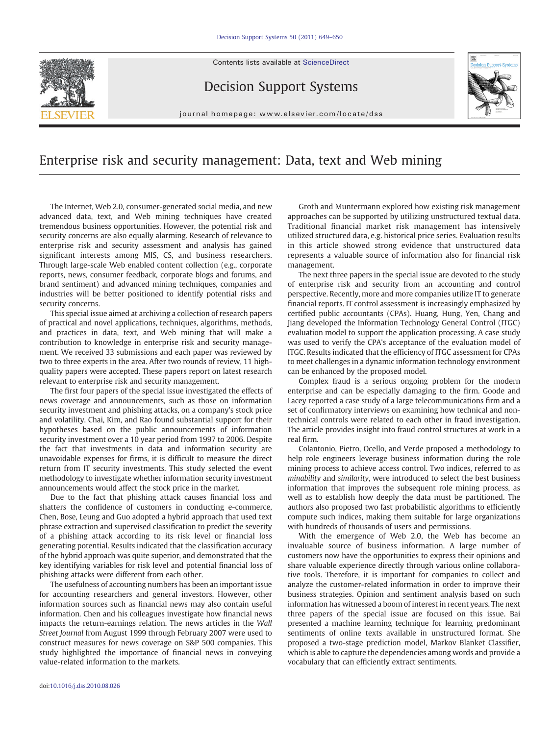Contents lists available at [ScienceDirect](http://www.sciencedirect.com/science/journal/01679236)



Decision Support Systems



journal homepage: www.elsevier.com/locate/dss

## Enterprise risk and security management: Data, text and Web mining

The Internet, Web 2.0, consumer-generated social media, and new advanced data, text, and Web mining techniques have created tremendous business opportunities. However, the potential risk and security concerns are also equally alarming. Research of relevance to enterprise risk and security assessment and analysis has gained significant interests among MIS, CS, and business researchers. Through large-scale Web enabled content collection (e.g., corporate reports, news, consumer feedback, corporate blogs and forums, and brand sentiment) and advanced mining techniques, companies and industries will be better positioned to identify potential risks and security concerns.

This special issue aimed at archiving a collection of research papers of practical and novel applications, techniques, algorithms, methods, and practices in data, text, and Web mining that will make a contribution to knowledge in enterprise risk and security management. We received 33 submissions and each paper was reviewed by two to three experts in the area. After two rounds of review, 11 highquality papers were accepted. These papers report on latest research relevant to enterprise risk and security management.

The first four papers of the special issue investigated the effects of news coverage and announcements, such as those on information security investment and phishing attacks, on a company's stock price and volatility. Chai, Kim, and Rao found substantial support for their hypotheses based on the public announcements of information security investment over a 10 year period from 1997 to 2006. Despite the fact that investments in data and information security are unavoidable expenses for firms, it is difficult to measure the direct return from IT security investments. This study selected the event methodology to investigate whether information security investment announcements would affect the stock price in the market.

Due to the fact that phishing attack causes financial loss and shatters the confidence of customers in conducting e-commerce, Chen, Bose, Leung and Guo adopted a hybrid approach that used text phrase extraction and supervised classification to predict the severity of a phishing attack according to its risk level or financial loss generating potential. Results indicated that the classification accuracy of the hybrid approach was quite superior, and demonstrated that the key identifying variables for risk level and potential financial loss of phishing attacks were different from each other.

The usefulness of accounting numbers has been an important issue for accounting researchers and general investors. However, other information sources such as financial news may also contain useful information. Chen and his colleagues investigate how financial news impacts the return-earnings relation. The news articles in the Wall Street Journal from August 1999 through February 2007 were used to construct measures for news coverage on S&P 500 companies. This study highlighted the importance of financial news in conveying value-related information to the markets.

Groth and Muntermann explored how existing risk management approaches can be supported by utilizing unstructured textual data. Traditional financial market risk management has intensively utilized structured data, e.g. historical price series. Evaluation results in this article showed strong evidence that unstructured data represents a valuable source of information also for financial risk management.

The next three papers in the special issue are devoted to the study of enterprise risk and security from an accounting and control perspective. Recently, more and more companies utilize IT to generate financial reports. IT control assessment is increasingly emphasized by certified public accountants (CPAs). Huang, Hung, Yen, Chang and Jiang developed the Information Technology General Control (ITGC) evaluation model to support the application processing. A case study was used to verify the CPA's acceptance of the evaluation model of ITGC. Results indicated that the efficiency of ITGC assessment for CPAs to meet challenges in a dynamic information technology environment can be enhanced by the proposed model.

Complex fraud is a serious ongoing problem for the modern enterprise and can be especially damaging to the firm. Goode and Lacey reported a case study of a large telecommunications firm and a set of confirmatory interviews on examining how technical and nontechnical controls were related to each other in fraud investigation. The article provides insight into fraud control structures at work in a real firm.

Colantonio, Pietro, Ocello, and Verde proposed a methodology to help role engineers leverage business information during the role mining process to achieve access control. Two indices, referred to as minability and similarity, were introduced to select the best business information that improves the subsequent role mining process, as well as to establish how deeply the data must be partitioned. The authors also proposed two fast probabilistic algorithms to efficiently compute such indices, making them suitable for large organizations with hundreds of thousands of users and permissions.

With the emergence of Web 2.0, the Web has become an invaluable source of business information. A large number of customers now have the opportunities to express their opinions and share valuable experience directly through various online collaborative tools. Therefore, it is important for companies to collect and analyze the customer-related information in order to improve their business strategies. Opinion and sentiment analysis based on such information has witnessed a boom of interest in recent years. The next three papers of the special issue are focused on this issue. Bai presented a machine learning technique for learning predominant sentiments of online texts available in unstructured format. She proposed a two-stage prediction model, Markov Blanket Classifier, which is able to capture the dependencies among words and provide a vocabulary that can efficiently extract sentiments.